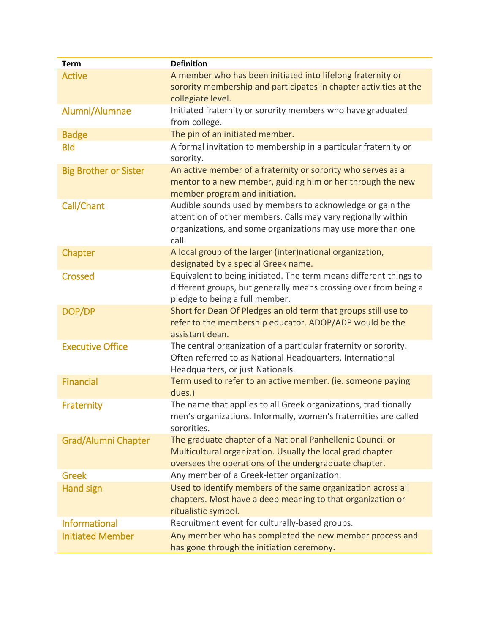| <b>Term</b>                  | <b>Definition</b>                                                                                                                                                                                 |
|------------------------------|---------------------------------------------------------------------------------------------------------------------------------------------------------------------------------------------------|
| <b>Active</b>                | A member who has been initiated into lifelong fraternity or<br>sorority membership and participates in chapter activities at the<br>collegiate level.                                             |
| Alumni/Alumnae               | Initiated fraternity or sorority members who have graduated<br>from college.                                                                                                                      |
| <b>Badge</b>                 | The pin of an initiated member.                                                                                                                                                                   |
| <b>Bid</b>                   | A formal invitation to membership in a particular fraternity or<br>sorority.                                                                                                                      |
| <b>Big Brother or Sister</b> | An active member of a fraternity or sorority who serves as a<br>mentor to a new member, guiding him or her through the new<br>member program and initiation.                                      |
| Call/Chant                   | Audible sounds used by members to acknowledge or gain the<br>attention of other members. Calls may vary regionally within<br>organizations, and some organizations may use more than one<br>call. |
| Chapter                      | A local group of the larger (inter)national organization,<br>designated by a special Greek name.                                                                                                  |
| <b>Crossed</b>               | Equivalent to being initiated. The term means different things to<br>different groups, but generally means crossing over from being a<br>pledge to being a full member.                           |
| DOP/DP                       | Short for Dean Of Pledges an old term that groups still use to<br>refer to the membership educator. ADOP/ADP would be the<br>assistant dean.                                                      |
| <b>Executive Office</b>      | The central organization of a particular fraternity or sorority.<br>Often referred to as National Headquarters, International<br>Headquarters, or just Nationals.                                 |
| <b>Financial</b>             | Term used to refer to an active member. (ie. someone paying<br>dues.)                                                                                                                             |
| Fraternity                   | The name that applies to all Greek organizations, traditionally<br>men's organizations. Informally, women's fraternities are called<br>sororities.                                                |
| <b>Grad/Alumni Chapter</b>   | The graduate chapter of a National Panhellenic Council or<br>Multicultural organization. Usually the local grad chapter<br>oversees the operations of the undergraduate chapter.                  |
| <b>Greek</b>                 | Any member of a Greek-letter organization.                                                                                                                                                        |
| <b>Hand sign</b>             | Used to identify members of the same organization across all<br>chapters. Most have a deep meaning to that organization or<br>ritualistic symbol.                                                 |
| <b>Informational</b>         | Recruitment event for culturally-based groups.                                                                                                                                                    |
| <b>Initiated Member</b>      | Any member who has completed the new member process and<br>has gone through the initiation ceremony.                                                                                              |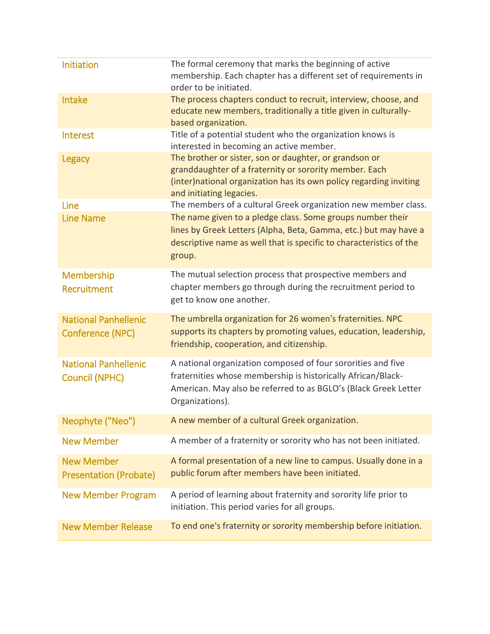| Initiation                                             | The formal ceremony that marks the beginning of active<br>membership. Each chapter has a different set of requirements in<br>order to be initiated.                                                                 |
|--------------------------------------------------------|---------------------------------------------------------------------------------------------------------------------------------------------------------------------------------------------------------------------|
| <b>Intake</b>                                          | The process chapters conduct to recruit, interview, choose, and<br>educate new members, traditionally a title given in culturally-<br>based organization.                                                           |
| Interest                                               | Title of a potential student who the organization knows is<br>interested in becoming an active member.                                                                                                              |
| Legacy                                                 | The brother or sister, son or daughter, or grandson or<br>granddaughter of a fraternity or sorority member. Each<br>(inter) national organization has its own policy regarding inviting<br>and initiating legacies. |
| Line                                                   | The members of a cultural Greek organization new member class.                                                                                                                                                      |
| <b>Line Name</b>                                       | The name given to a pledge class. Some groups number their<br>lines by Greek Letters (Alpha, Beta, Gamma, etc.) but may have a<br>descriptive name as well that is specific to characteristics of the<br>group.     |
| Membership<br>Recruitment                              | The mutual selection process that prospective members and<br>chapter members go through during the recruitment period to<br>get to know one another.                                                                |
| <b>National Panhellenic</b><br><b>Conference (NPC)</b> | The umbrella organization for 26 women's fraternities. NPC<br>supports its chapters by promoting values, education, leadership,<br>friendship, cooperation, and citizenship.                                        |
| <b>National Panhellenic</b><br><b>Council (NPHC)</b>   | A national organization composed of four sororities and five<br>fraternities whose membership is historically African/Black-<br>American. May also be referred to as BGLO's (Black Greek Letter<br>Organizations).  |
| Neophyte ("Neo")                                       | A new member of a cultural Greek organization.                                                                                                                                                                      |
| <b>New Member</b>                                      | A member of a fraternity or sorority who has not been initiated.                                                                                                                                                    |
| <b>New Member</b><br><b>Presentation (Probate)</b>     | A formal presentation of a new line to campus. Usually done in a<br>public forum after members have been initiated.                                                                                                 |
| <b>New Member Program</b>                              | A period of learning about fraternity and sorority life prior to<br>initiation. This period varies for all groups.                                                                                                  |
| <b>New Member Release</b>                              | To end one's fraternity or sorority membership before initiation.                                                                                                                                                   |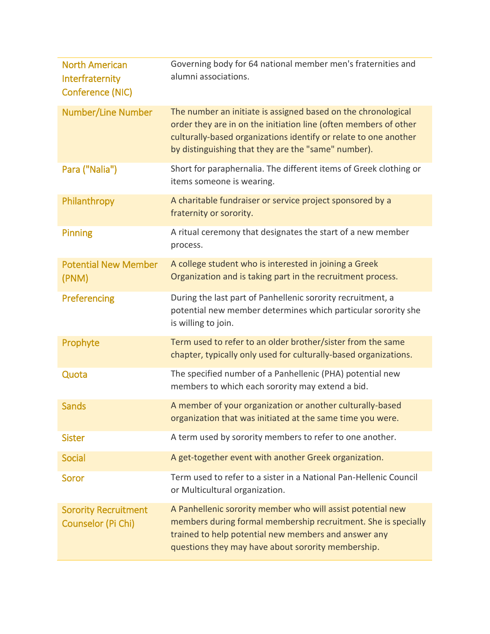| <b>North American</b><br>Interfraternity<br>Conference (NIC) | Governing body for 64 national member men's fraternities and<br>alumni associations.                                                                                                                                                                         |
|--------------------------------------------------------------|--------------------------------------------------------------------------------------------------------------------------------------------------------------------------------------------------------------------------------------------------------------|
| <b>Number/Line Number</b>                                    | The number an initiate is assigned based on the chronological<br>order they are in on the initiation line (often members of other<br>culturally-based organizations identify or relate to one another<br>by distinguishing that they are the "same" number). |
| Para ("Nalia")                                               | Short for paraphernalia. The different items of Greek clothing or<br>items someone is wearing.                                                                                                                                                               |
| Philanthropy                                                 | A charitable fundraiser or service project sponsored by a<br>fraternity or sorority.                                                                                                                                                                         |
| Pinning                                                      | A ritual ceremony that designates the start of a new member<br>process.                                                                                                                                                                                      |
| <b>Potential New Member</b><br>(PNM)                         | A college student who is interested in joining a Greek<br>Organization and is taking part in the recruitment process.                                                                                                                                        |
| Preferencing                                                 | During the last part of Panhellenic sorority recruitment, a<br>potential new member determines which particular sorority she<br>is willing to join.                                                                                                          |
| Prophyte                                                     | Term used to refer to an older brother/sister from the same<br>chapter, typically only used for culturally-based organizations.                                                                                                                              |
| Quota                                                        | The specified number of a Panhellenic (PHA) potential new<br>members to which each sorority may extend a bid.                                                                                                                                                |
| <b>Sands</b>                                                 | A member of your organization or another culturally-based<br>organization that was initiated at the same time you were.                                                                                                                                      |
| <b>Sister</b>                                                | A term used by sorority members to refer to one another.                                                                                                                                                                                                     |
| <b>Social</b>                                                | A get-together event with another Greek organization.                                                                                                                                                                                                        |
| Soror                                                        | Term used to refer to a sister in a National Pan-Hellenic Council<br>or Multicultural organization.                                                                                                                                                          |
| <b>Sorority Recruitment</b><br>Counselor (Pi Chi)            | A Panhellenic sorority member who will assist potential new<br>members during formal membership recruitment. She is specially<br>trained to help potential new members and answer any<br>questions they may have about sorority membership.                  |